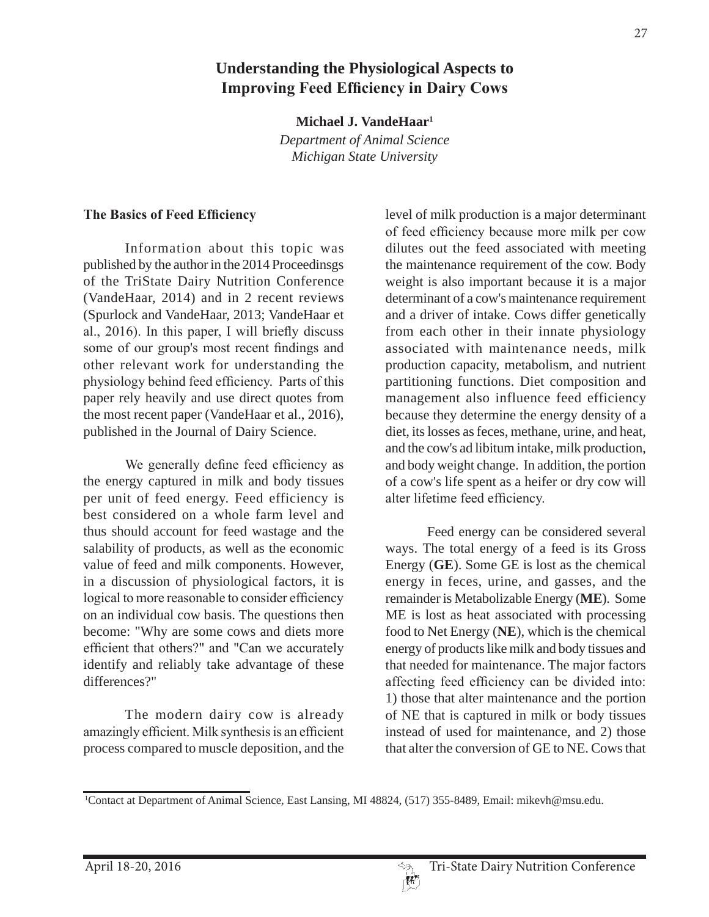# **Understanding the Physiological Aspects to Improving Feed Efficiency in Dairy Cows**

**Michael J. VandeHaar1**

*Department of Animal Science Michigan State University*

#### **7he Basics of Feed Efficiency**

Information about this topic was published by the author in the 2014 Proceedinsgs of the TriState Dairy Nutrition Conference (VandeHaar, 2014) and in 2 recent reviews (Spurlock and VandeHaar, 2013; VandeHaar et al.,  $2016$ ). In this paper, I will briefly discuss some of our group's most recent findings and other relevant work for understanding the physiology behind feed efficiency. Parts of this paper rely heavily and use direct quotes from the most recent paper (VandeHaar et al., 2016), published in the Journal of Dairy Science.

We generally define feed efficiency as the energy captured in milk and body tissues per unit of feed energy. Feed efficiency is best considered on a whole farm level and thus should account for feed wastage and the salability of products, as well as the economic value of feed and milk components. However, in a discussion of physiological factors, it is logical to more reasonable to consider efficiency on an individual cow basis. The questions then become: "Why are some cows and diets more efficient that others?" and "Can we accurately identify and reliably take advantage of these differences?"

The modern dairy cow is already amazingly efficient. Milk synthesis is an efficient process compared to muscle deposition, and the

level of milk production is a major determinant of feed efficiency because more milk per cow dilutes out the feed associated with meeting the maintenance requirement of the cow. Body weight is also important because it is a major determinant of a cow's maintenance requirement and a driver of intake. Cows differ genetically from each other in their innate physiology associated with maintenance needs, milk production capacity, metabolism, and nutrient partitioning functions. Diet composition and management also influence feed efficiency because they determine the energy density of a diet, its losses as feces, methane, urine, and heat, and the cow's ad libitum intake, milk production, and body weight change. In addition, the portion of a cow's life spent as a heifer or dry cow will alter lifetime feed efficiency.

Feed energy can be considered several ways. The total energy of a feed is its Gross Energy (**GE**). Some GE is lost as the chemical energy in feces, urine, and gasses, and the remainder is Metabolizable Energy (**ME**). Some ME is lost as heat associated with processing food to Net Energy (**NE**), which is the chemical energy of products like milk and body tissues and that needed for maintenance. The major factors affecting feed efficiency can be divided into: 1) those that alter maintenance and the portion of NE that is captured in milk or body tissues instead of used for maintenance, and 2) those that alter the conversion of GE to NE. Cows that

<sup>1</sup> Contact at Department of Animal Science, East Lansing, MI 48824, (517) 355-8489, Email: mikevh@msu.edu.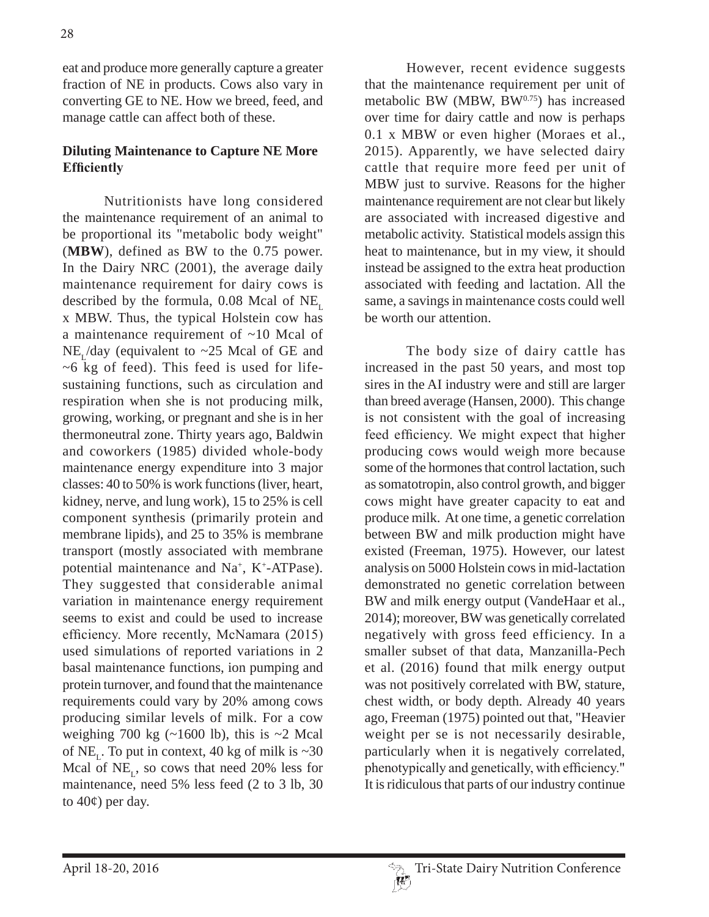eat and produce more generally capture a greater fraction of NE in products. Cows also vary in converting GE to NE. How we breed, feed, and manage cattle can affect both of these.

#### **Diluting Maintenance to Capture NE More Efficiently**

Nutritionists have long considered the maintenance requirement of an animal to be proportional its "metabolic body weight" (**MBW**), defined as BW to the 0.75 power. In the Dairy NRC (2001), the average daily maintenance requirement for dairy cows is described by the formula,  $0.08$  Mcal of NE<sub>r</sub> x MBW. Thus, the typical Holstein cow has a maintenance requirement of ~10 Mcal of  $NE<sub>r</sub>/day$  (equivalent to ~25 Mcal of GE and ~6 kg of feed). This feed is used for lifesustaining functions, such as circulation and respiration when she is not producing milk, growing, working, or pregnant and she is in her thermoneutral zone. Thirty years ago, Baldwin and coworkers (1985) divided whole-body maintenance energy expenditure into 3 major classes: 40 to 50% is work functions (liver, heart, kidney, nerve, and lung work), 15 to 25% is cell component synthesis (primarily protein and membrane lipids), and 25 to 35% is membrane transport (mostly associated with membrane potential maintenance and Na<sup>+</sup>, K<sup>+</sup>-ATPase). They suggested that considerable animal variation in maintenance energy requirement seems to exist and could be used to increase efficiency. More recently, McNamara (2015) used simulations of reported variations in 2 basal maintenance functions, ion pumping and protein turnover, and found that the maintenance requirements could vary by 20% among cows producing similar levels of milk. For a cow weighing 700 kg  $(\sim 1600 \text{ lb})$ , this is  $\sim 2 \text{ Mcal}$ of NE<sub>1</sub>. To put in context, 40 kg of milk is  $\sim$ 30 Mcal of  $NE_{r}$ , so cows that need 20% less for maintenance, need 5% less feed (2 to 3 lb, 30 to  $40¢$ ) per day.

However, recent evidence suggests that the maintenance requirement per unit of metabolic BW (MBW,  $BW^{0.75}$ ) has increased over time for dairy cattle and now is perhaps 0.1 x MBW or even higher (Moraes et al., 2015). Apparently, we have selected dairy cattle that require more feed per unit of MBW just to survive. Reasons for the higher maintenance requirement are not clear but likely are associated with increased digestive and metabolic activity. Statistical models assign this heat to maintenance, but in my view, it should instead be assigned to the extra heat production associated with feeding and lactation. All the same, a savings in maintenance costs could well be worth our attention.

The body size of dairy cattle has increased in the past 50 years, and most top sires in the AI industry were and still are larger than breed average (Hansen, 2000). This change is not consistent with the goal of increasing feed efficiency. We might expect that higher producing cows would weigh more because some of the hormones that control lactation, such as somatotropin, also control growth, and bigger cows might have greater capacity to eat and produce milk. At one time, a genetic correlation between BW and milk production might have existed (Freeman, 1975). However, our latest analysis on 5000 Holstein cows in mid-lactation demonstrated no genetic correlation between BW and milk energy output (VandeHaar et al., 2014); moreover, BW was genetically correlated negatively with gross feed efficiency. In a smaller subset of that data, Manzanilla-Pech et al. (2016) found that milk energy output was not positively correlated with BW, stature, chest width, or body depth. Already 40 years ago, Freeman (1975) pointed out that, "Heavier weight per se is not necessarily desirable, particularly when it is negatively correlated, phenotypically and genetically, with efficiency." It is ridiculous that parts of our industry continue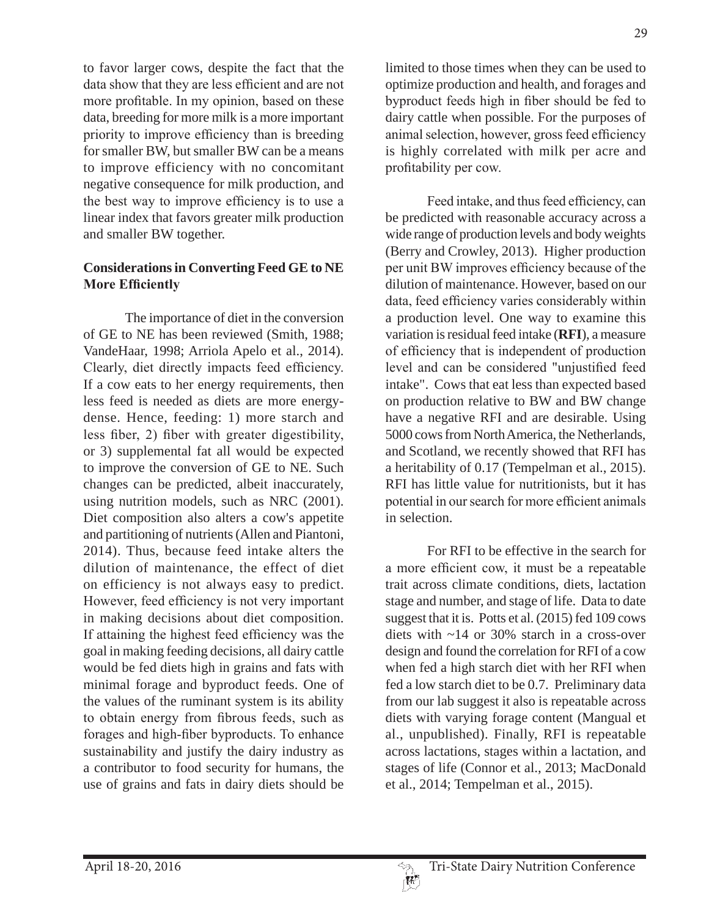to favor larger cows, despite the fact that the data show that they are less efficient and are not more profitable. In my opinion, based on these data, breeding for more milk is a more important priority to improve efficiency than is breeding for smaller BW, but smaller BW can be a means to improve efficiency with no concomitant negative consequence for milk production, and the best way to improve efficiency is to use a linear index that favors greater milk production and smaller BW together.

#### **Considerations in Converting Feed GE to NE More Efficiently**

The importance of diet in the conversion of GE to NE has been reviewed (Smith, 1988; VandeHaar, 1998; Arriola Apelo et al., 2014). Clearly, diet directly impacts feed efficiency. If a cow eats to her energy requirements, then less feed is needed as diets are more energydense. Hence, feeding: 1) more starch and less fiber, 2) fiber with greater digestibility, or 3) supplemental fat all would be expected to improve the conversion of GE to NE. Such changes can be predicted, albeit inaccurately, using nutrition models, such as NRC (2001). Diet composition also alters a cow's appetite and partitioning of nutrients (Allen and Piantoni, 2014). Thus, because feed intake alters the dilution of maintenance, the effect of diet on efficiency is not always easy to predict. However, feed efficiency is not very important in making decisions about diet composition. If attaining the highest feed efficiency was the goal in making feeding decisions, all dairy cattle would be fed diets high in grains and fats with minimal forage and byproduct feeds. One of the values of the ruminant system is its ability to obtain energy from fibrous feeds, such as forages and high-fiber byproducts. To enhance sustainability and justify the dairy industry as a contributor to food security for humans, the use of grains and fats in dairy diets should be limited to those times when they can be used to optimize production and health, and forages and byproduct feeds high in fiber should be fed to dairy cattle when possible. For the purposes of animal selection, however, gross feed efficiency is highly correlated with milk per acre and profitability per cow.

Feed intake, and thus feed efficiency, can be predicted with reasonable accuracy across a wide range of production levels and body weights (Berry and Crowley, 2013). Higher production per unit BW improves efficiency because of the dilution of maintenance. However, based on our data, feed efficiency varies considerably within a production level. One way to examine this variation is residual feed intake (**RFI**), a measure of efficiency that is independent of production level and can be considered "unjustified feed intake". Cows that eat less than expected based on production relative to BW and BW change have a negative RFI and are desirable. Using 5000 cows from North America, the Netherlands, and Scotland, we recently showed that RFI has a heritability of 0.17 (Tempelman et al., 2015). RFI has little value for nutritionists, but it has notential in our search for more efficient animals in selection.

For RFI to be effective in the search for a more efficient cow, it must be a repeatable trait across climate conditions, diets, lactation stage and number, and stage of life. Data to date suggest that it is. Potts et al. (2015) fed 109 cows diets with ~14 or 30% starch in a cross-over design and found the correlation for RFI of a cow when fed a high starch diet with her RFI when fed a low starch diet to be 0.7. Preliminary data from our lab suggest it also is repeatable across diets with varying forage content (Mangual et al., unpublished). Finally, RFI is repeatable across lactations, stages within a lactation, and stages of life (Connor et al., 2013; MacDonald et al., 2014; Tempelman et al., 2015).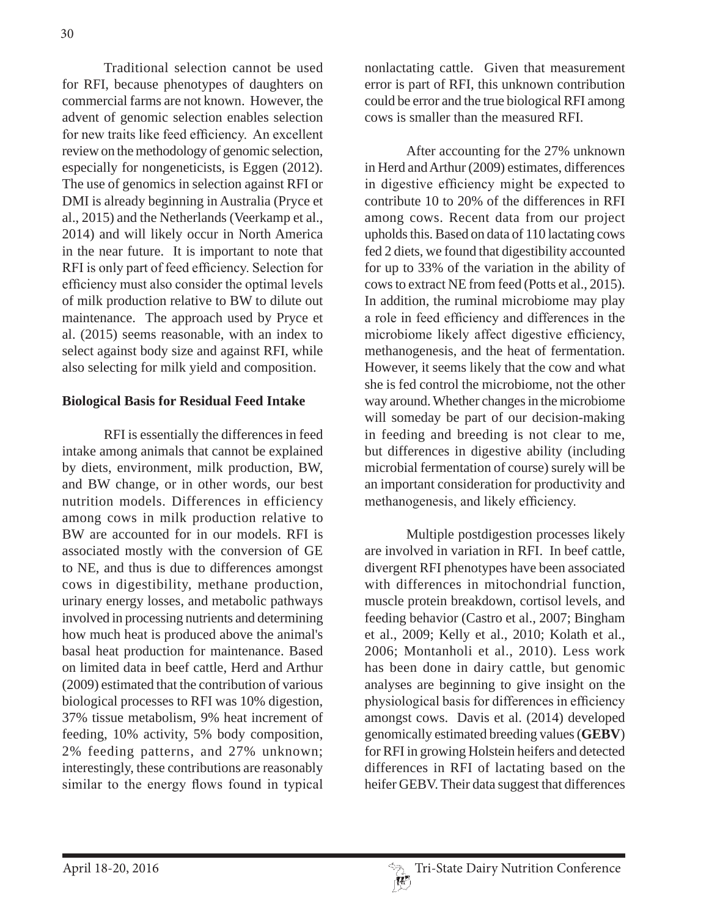Traditional selection cannot be used for RFI, because phenotypes of daughters on commercial farms are not known. However, the advent of genomic selection enables selection for new traits like feed efficiency. An excellent review on the methodology of genomic selection, especially for nongeneticists, is Eggen (2012). The use of genomics in selection against RFI or DMI is already beginning in Australia (Pryce et al., 2015) and the Netherlands (Veerkamp et al., 2014) and will likely occur in North America in the near future. It is important to note that RFI is only part of feed efficiency. Selection for efficiency must also consider the optimal levels of milk production relative to BW to dilute out maintenance. The approach used by Pryce et al. (2015) seems reasonable, with an index to select against body size and against RFI, while also selecting for milk yield and composition.

#### **Biological Basis for Residual Feed Intake**

RFI is essentially the differences in feed intake among animals that cannot be explained by diets, environment, milk production, BW, and BW change, or in other words, our best nutrition models. Differences in efficiency among cows in milk production relative to BW are accounted for in our models. RFI is associated mostly with the conversion of GE to NE, and thus is due to differences amongst cows in digestibility, methane production, urinary energy losses, and metabolic pathways involved in processing nutrients and determining how much heat is produced above the animal's basal heat production for maintenance. Based on limited data in beef cattle, Herd and Arthur (2009) estimated that the contribution of various biological processes to RFI was 10% digestion, 37% tissue metabolism, 9% heat increment of feeding, 10% activity, 5% body composition, 2% feeding patterns, and 27% unknown; interestingly, these contributions are reasonably similar to the energy flows found in typical

nonlactating cattle. Given that measurement error is part of RFI, this unknown contribution could be error and the true biological RFI among cows is smaller than the measured RFI.

After accounting for the 27% unknown in Herd and Arthur (2009) estimates, differences in digestive efficiency might be expected to contribute 10 to 20% of the differences in RFI among cows. Recent data from our project upholds this. Based on data of 110 lactating cows fed 2 diets, we found that digestibility accounted for up to 33% of the variation in the ability of cows to extract NE from feed (Potts et al., 2015). In addition, the ruminal microbiome may play a role in feed efficiency and differences in the microbiome likely affect digestive efficiency, methanogenesis, and the heat of fermentation. However, it seems likely that the cow and what she is fed control the microbiome, not the other way around. Whether changes in the microbiome will someday be part of our decision-making in feeding and breeding is not clear to me, but differences in digestive ability (including microbial fermentation of course) surely will be an important consideration for productivity and methanogenesis, and likely efficiency.

Multiple postdigestion processes likely are involved in variation in RFI. In beef cattle, divergent RFI phenotypes have been associated with differences in mitochondrial function, muscle protein breakdown, cortisol levels, and feeding behavior (Castro et al., 2007; Bingham et al., 2009; Kelly et al., 2010; Kolath et al., 2006; Montanholi et al., 2010). Less work has been done in dairy cattle, but genomic analyses are beginning to give insight on the physiological basis for differences in efficiency amongst cows. Davis et al. (2014) developed genomically estimated breeding values (**GEBV**) for RFI in growing Holstein heifers and detected differences in RFI of lactating based on the heifer GEBV. Their data suggest that differences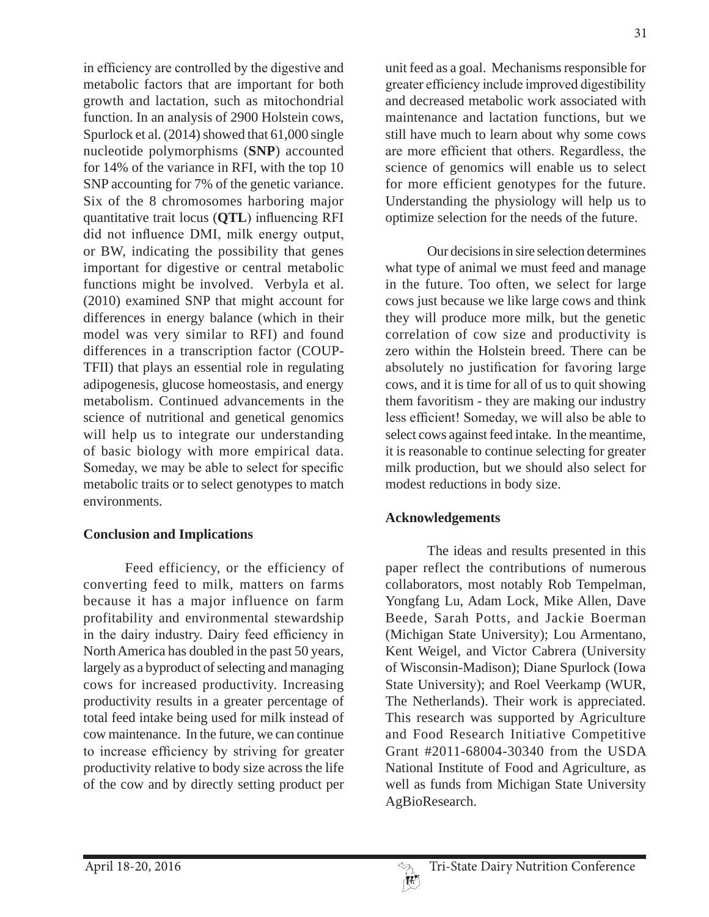in efficiency are controlled by the digestive and metabolic factors that are important for both growth and lactation, such as mitochondrial function. In an analysis of 2900 Holstein cows, Spurlock et al. (2014) showed that 61,000 single nucleotide polymorphisms (**SNP**) accounted for 14% of the variance in RFI, with the top 10 SNP accounting for 7% of the genetic variance. Six of the 8 chromosomes harboring major quantitative trait locus (**QTL**) influencing RFI did not influence DMI, milk energy output, or BW, indicating the possibility that genes important for digestive or central metabolic functions might be involved. Verbyla et al. (2010) examined SNP that might account for differences in energy balance (which in their model was very similar to RFI) and found differences in a transcription factor (COUP-TFII) that plays an essential role in regulating adipogenesis, glucose homeostasis, and energy metabolism. Continued advancements in the science of nutritional and genetical genomics will help us to integrate our understanding of basic biology with more empirical data. Someday, we may be able to select for specific metabolic traits or to select genotypes to match environments.

### **Conclusion and Implications**

Feed efficiency, or the efficiency of converting feed to milk, matters on farms because it has a major influence on farm profitability and environmental stewardship in the dairy industry. Dairy feed efficiency in North America has doubled in the past 50 years, largely as a byproduct of selecting and managing cows for increased productivity. Increasing productivity results in a greater percentage of total feed intake being used for milk instead of cow maintenance. In the future, we can continue to increase efficiency by striving for greater productivity relative to body size across the life of the cow and by directly setting product per

unit feed as a goal. Mechanisms responsible for greater efficiency include improved digestibility and decreased metabolic work associated with maintenance and lactation functions, but we still have much to learn about why some cows are more efficient that others. Regardless, the science of genomics will enable us to select for more efficient genotypes for the future. Understanding the physiology will help us to optimize selection for the needs of the future.

Our decisions in sire selection determines what type of animal we must feed and manage in the future. Too often, we select for large cows just because we like large cows and think they will produce more milk, but the genetic correlation of cow size and productivity is zero within the Holstein breed. There can be absolutely no justification for favoring large cows, and it is time for all of us to quit showing them favoritism - they are making our industry less efficient! Someday, we will also be able to select cows against feed intake. In the meantime, it is reasonable to continue selecting for greater milk production, but we should also select for modest reductions in body size.

### **Acknowledgements**

The ideas and results presented in this paper reflect the contributions of numerous collaborators, most notably Rob Tempelman, Yongfang Lu, Adam Lock, Mike Allen, Dave Beede, Sarah Potts, and Jackie Boerman (Michigan State University); Lou Armentano, Kent Weigel, and Victor Cabrera (University of Wisconsin-Madison); Diane Spurlock (Iowa State University); and Roel Veerkamp (WUR, The Netherlands). Their work is appreciated. This research was supported by Agriculture and Food Research Initiative Competitive Grant #2011-68004-30340 from the USDA National Institute of Food and Agriculture, as well as funds from Michigan State University AgBioResearch.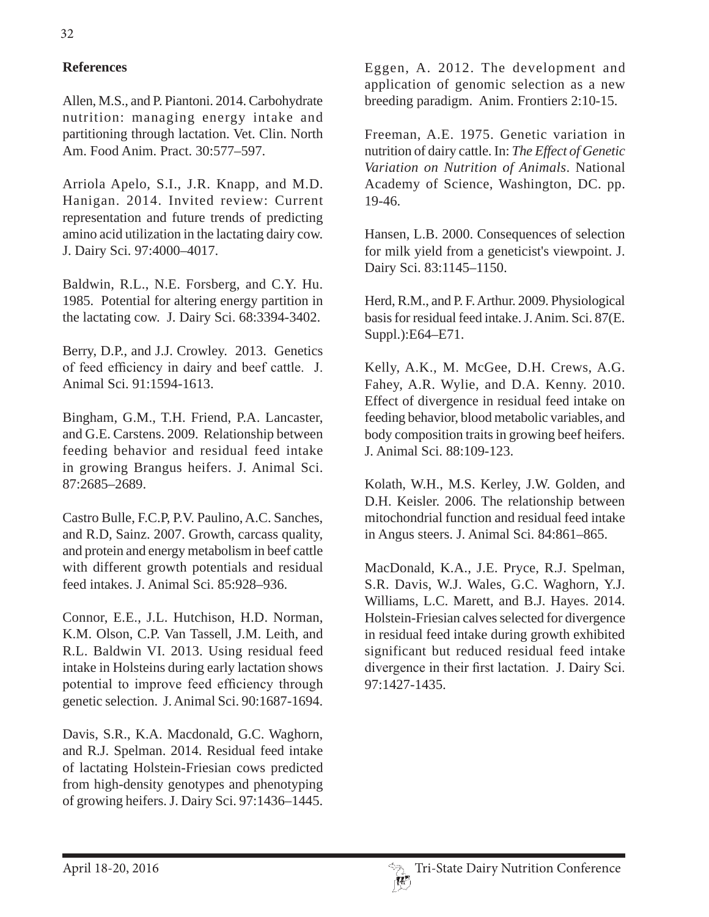## **References**

Allen, M.S., and P. Piantoni. 2014. Carbohydrate nutrition: managing energy intake and partitioning through lactation. Vet. Clin. North Am. Food Anim. Pract. 30:577–597.

Arriola Apelo, S.I., J.R. Knapp, and M.D. Hanigan. 2014. Invited review: Current representation and future trends of predicting amino acid utilization in the lactating dairy cow. J. Dairy Sci. 97:4000–4017.

Baldwin, R.L., N.E. Forsberg, and C.Y. Hu. 1985. Potential for altering energy partition in the lactating cow. J. Dairy Sci. 68:3394-3402.

Berry, D.P., and J.J. Crowley. 2013. Genetics of feed efficiency in dairy and beef cattle. J. Animal Sci. 91:1594-1613.

Bingham, G.M., T.H. Friend, P.A. Lancaster, and G.E. Carstens. 2009. Relationship between feeding behavior and residual feed intake in growing Brangus heifers. J. Animal Sci. 87:2685–2689.

Castro Bulle, F.C.P, P.V. Paulino, A.C. Sanches, and R.D, Sainz. 2007. Growth, carcass quality, and protein and energy metabolism in beef cattle with different growth potentials and residual feed intakes. J. Animal Sci. 85:928–936.

Connor, E.E., J.L. Hutchison, H.D. Norman, K.M. Olson, C.P. Van Tassell, J.M. Leith, and R.L. Baldwin VI. 2013. Using residual feed intake in Holsteins during early lactation shows potential to improve feed efficiency through genetic selection. J. Animal Sci. 90:1687-1694.

Davis, S.R., K.A. Macdonald, G.C. Waghorn, and R.J. Spelman. 2014. Residual feed intake of lactating Holstein-Friesian cows predicted from high-density genotypes and phenotyping of growing heifers. J. Dairy Sci. 97:1436–1445.

Eggen, A. 2012. The development and application of genomic selection as a new breeding paradigm. Anim. Frontiers 2:10-15.

Freeman, A.E. 1975. Genetic variation in nutrition of dairy cattle. In: *The Effect of Genetic Variation on Nutrition of Animals*. National Academy of Science, Washington, DC. pp. 19-46.

Hansen, L.B. 2000. Consequences of selection for milk yield from a geneticist's viewpoint. J. Dairy Sci. 83:1145–1150.

Herd, R.M., and P. F. Arthur. 2009. Physiological basis for residual feed intake. J. Anim. Sci. 87(E. Suppl.):E64–E71.

Kelly, A.K., M. McGee, D.H. Crews, A.G. Fahey, A.R. Wylie, and D.A. Kenny. 2010. Effect of divergence in residual feed intake on feeding behavior, blood metabolic variables, and body composition traits in growing beef heifers. J. Animal Sci. 88:109-123.

Kolath, W.H., M.S. Kerley, J.W. Golden, and D.H. Keisler. 2006. The relationship between mitochondrial function and residual feed intake in Angus steers. J. Animal Sci. 84:861–865.

MacDonald, K.A., J.E. Pryce, R.J. Spelman, S.R. Davis, W.J. Wales, G.C. Waghorn, Y.J. Williams, L.C. Marett, and B.J. Hayes. 2014. Holstein-Friesian calves selected for divergence in residual feed intake during growth exhibited significant but reduced residual feed intake divergence in their first lactation. J. Dairy Sci. 97:1427-1435.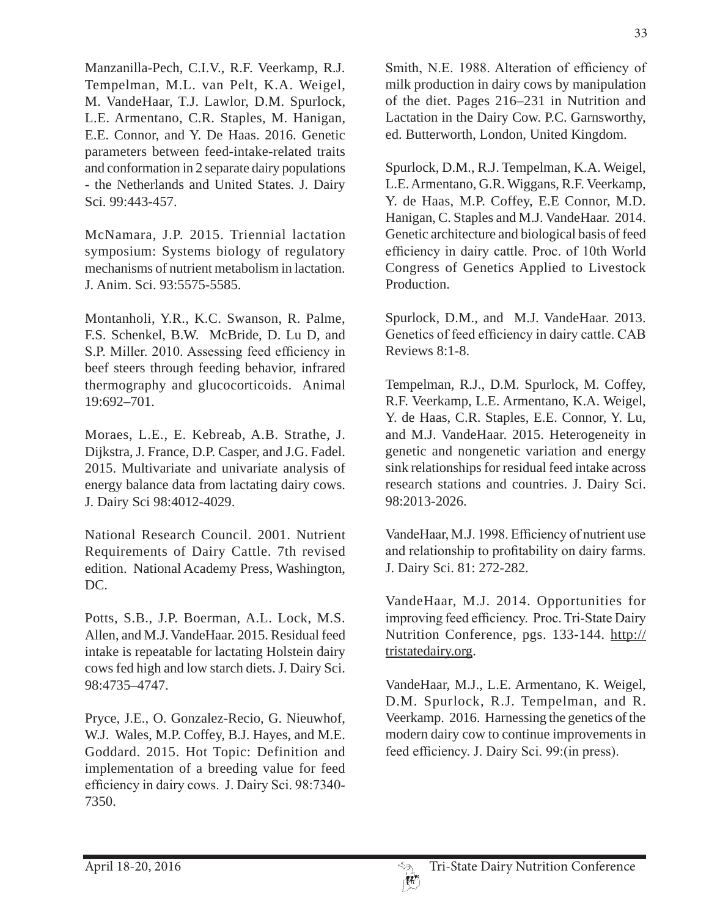Manzanilla-Pech, C.I.V., R.F. Veerkamp, R.J. Tempelman, M.L. van Pelt, K.A. Weigel, M. VandeHaar, T.J. Lawlor, D.M. Spurlock, L.E. Armentano, C.R. Staples, M. Hanigan, E.E. Connor, and Y. De Haas. 2016. Genetic parameters between feed-intake-related traits and conformation in 2 separate dairy populations - the Netherlands and United States. J. Dairy Sci. 99:443-457.

McNamara, J.P. 2015. Triennial lactation symposium: Systems biology of regulatory mechanisms of nutrient metabolism in lactation. J. Anim. Sci. 93:5575-5585.

Montanholi, Y.R., K.C. Swanson, R. Palme, F.S. Schenkel, B.W. McBride, D. Lu D, and S.P. Miller. 2010. Assessing feed efficiency in beef steers through feeding behavior, infrared thermography and glucocorticoids. Animal 19:692–701.

Moraes, L.E., E. Kebreab, A.B. Strathe, J. Dijkstra, J. France, D.P. Casper, and J.G. Fadel. 2015. Multivariate and univariate analysis of energy balance data from lactating dairy cows. J. Dairy Sci 98:4012-4029.

National Research Council. 2001. Nutrient Requirements of Dairy Cattle. 7th revised edition. National Academy Press, Washington, DC.

Potts, S.B., J.P. Boerman, A.L. Lock, M.S. Allen, and M.J. VandeHaar. 2015. Residual feed intake is repeatable for lactating Holstein dairy cows fed high and low starch diets. J. Dairy Sci. 98:4735–4747.

Pryce, J.E., O. Gonzalez-Recio, G. Nieuwhof, W.J. Wales, M.P. Coffey, B.J. Hayes, and M.E. Goddard. 2015. Hot Topic: Definition and implementation of a breeding value for feed efficiency in dairy cows. J. Dairy Sci. 98:7340-7350.

Smith, N.E. 1988. Alteration of efficiency of milk production in dairy cows by manipulation of the diet. Pages 216–231 in Nutrition and Lactation in the Dairy Cow. P.C. Garnsworthy, ed. Butterworth, London, United Kingdom.

Spurlock, D.M., R.J. Tempelman, K.A. Weigel, L.E. Armentano, G.R. Wiggans, R.F. Veerkamp, Y. de Haas, M.P. Coffey, E.E Connor, M.D. Hanigan, C. Staples and M.J. VandeHaar. 2014. Genetic architecture and biological basis of feed efficiency in dairy cattle. Proc. of 10th World Congress of Genetics Applied to Livestock Production.

Spurlock, D.M., and M.J. VandeHaar. 2013. Genetics of feed efficiency in dairy cattle. CAB Reviews 8:1-8.

Tempelman, R.J., D.M. Spurlock, M. Coffey, R.F. Veerkamp, L.E. Armentano, K.A. Weigel, Y. de Haas, C.R. Staples, E.E. Connor, Y. Lu, and M.J. VandeHaar. 2015. Heterogeneity in genetic and nongenetic variation and energy sink relationships for residual feed intake across research stations and countries. J. Dairy Sci. 98:2013-2026.

VandeHaar, M.J. 1998. Efficiency of nutrient use and relationship to profitability on dairy farms. J. Dairy Sci. 81: 272-282.

VandeHaar, M.J. 2014. Opportunities for improving feed efficiency. Proc. Tri-State Dairy Nutrition Conference, pgs. 133-144. http:// tristatedairy.org.

VandeHaar, M.J., L.E. Armentano, K. Weigel, D.M. Spurlock, R.J. Tempelman, and R. Veerkamp. 2016. Harnessing the genetics of the modern dairy cow to continue improvements in feed efficiency. J. Dairy Sci.  $99$ :(in press).